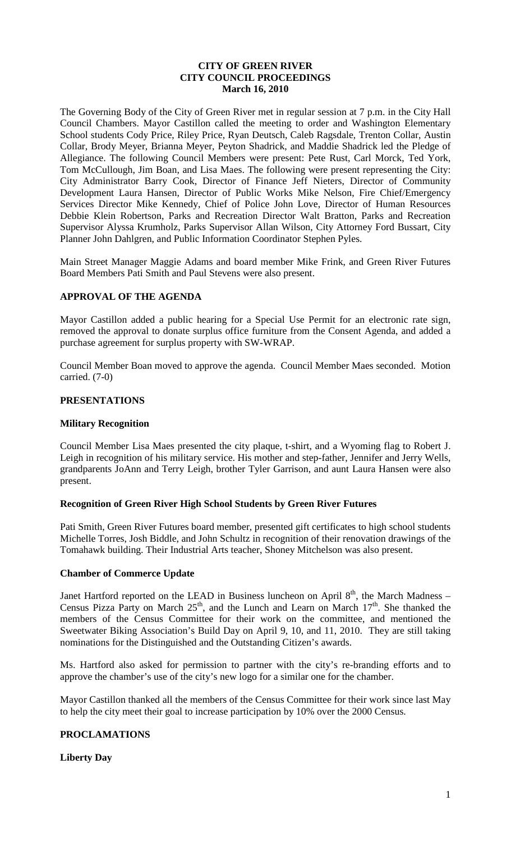## **CITY OF GREEN RIVER CITY COUNCIL PROCEEDINGS March 16, 2010**

The Governing Body of the City of Green River met in regular session at 7 p.m. in the City Hall Council Chambers. Mayor Castillon called the meeting to order and Washington Elementary School students Cody Price, Riley Price, Ryan Deutsch, Caleb Ragsdale, Trenton Collar, Austin Collar, Brody Meyer, Brianna Meyer, Peyton Shadrick, and Maddie Shadrick led the Pledge of Allegiance. The following Council Members were present: Pete Rust, Carl Morck, Ted York, Tom McCullough, Jim Boan, and Lisa Maes. The following were present representing the City: City Administrator Barry Cook, Director of Finance Jeff Nieters, Director of Community Development Laura Hansen, Director of Public Works Mike Nelson, Fire Chief/Emergency Services Director Mike Kennedy, Chief of Police John Love, Director of Human Resources Debbie Klein Robertson, Parks and Recreation Director Walt Bratton, Parks and Recreation Supervisor Alyssa Krumholz, Parks Supervisor Allan Wilson, City Attorney Ford Bussart, City Planner John Dahlgren, and Public Information Coordinator Stephen Pyles.

Main Street Manager Maggie Adams and board member Mike Frink, and Green River Futures Board Members Pati Smith and Paul Stevens were also present.

# **APPROVAL OF THE AGENDA**

Mayor Castillon added a public hearing for a Special Use Permit for an electronic rate sign, removed the approval to donate surplus office furniture from the Consent Agenda, and added a purchase agreement for surplus property with SW-WRAP.

Council Member Boan moved to approve the agenda. Council Member Maes seconded. Motion carried. (7-0)

#### **PRESENTATIONS**

#### **Military Recognition**

Council Member Lisa Maes presented the city plaque, t-shirt, and a Wyoming flag to Robert J. Leigh in recognition of his military service. His mother and step-father, Jennifer and Jerry Wells, grandparents JoAnn and Terry Leigh, brother Tyler Garrison, and aunt Laura Hansen were also present.

## **Recognition of Green River High School Students by Green River Futures**

Pati Smith, Green River Futures board member, presented gift certificates to high school students Michelle Torres, Josh Biddle, and John Schultz in recognition of their renovation drawings of the Tomahawk building. Their Industrial Arts teacher, Shoney Mitchelson was also present.

## **Chamber of Commerce Update**

Janet Hartford reported on the LEAD in Business luncheon on April  $8<sup>th</sup>$ , the March Madness – Census Pizza Party on March  $25<sup>th</sup>$ , and the Lunch and Learn on March  $17<sup>th</sup>$ . She thanked the members of the Census Committee for their work on the committee, and mentioned the Sweetwater Biking Association's Build Day on April 9, 10, and 11, 2010. They are still taking nominations for the Distinguished and the Outstanding Citizen's awards.

Ms. Hartford also asked for permission to partner with the city's re-branding efforts and to approve the chamber's use of the city's new logo for a similar one for the chamber.

Mayor Castillon thanked all the members of the Census Committee for their work since last May to help the city meet their goal to increase participation by 10% over the 2000 Census.

#### **PROCLAMATIONS**

## **Liberty Day**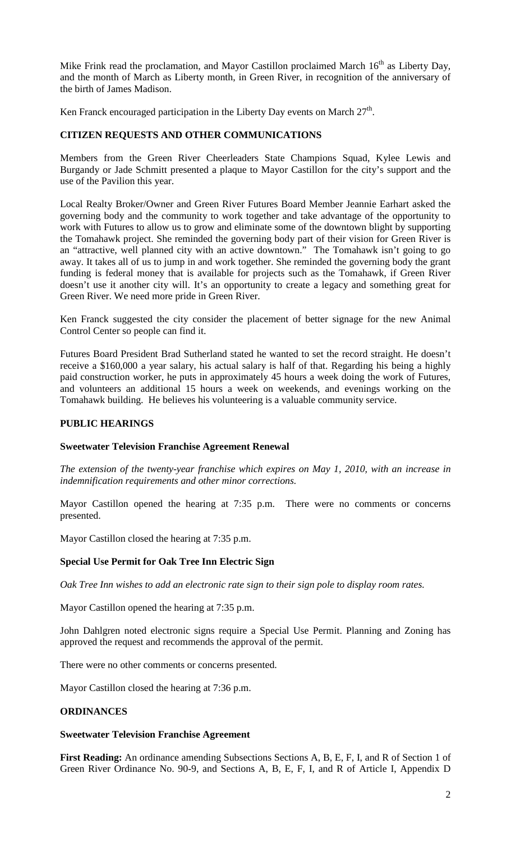Mike Frink read the proclamation, and Mayor Castillon proclaimed March 16<sup>th</sup> as Liberty Day, and the month of March as Liberty month, in Green River, in recognition of the anniversary of the birth of James Madison.

Ken Franck encouraged participation in the Liberty Day events on March  $27<sup>th</sup>$ .

## **CITIZEN REQUESTS AND OTHER COMMUNICATIONS**

Members from the Green River Cheerleaders State Champions Squad, Kylee Lewis and Burgandy or Jade Schmitt presented a plaque to Mayor Castillon for the city's support and the use of the Pavilion this year.

Local Realty Broker/Owner and Green River Futures Board Member Jeannie Earhart asked the governing body and the community to work together and take advantage of the opportunity to work with Futures to allow us to grow and eliminate some of the downtown blight by supporting the Tomahawk project. She reminded the governing body part of their vision for Green River is an "attractive, well planned city with an active downtown." The Tomahawk isn't going to go away. It takes all of us to jump in and work together. She reminded the governing body the grant funding is federal money that is available for projects such as the Tomahawk, if Green River doesn't use it another city will. It's an opportunity to create a legacy and something great for Green River. We need more pride in Green River.

Ken Franck suggested the city consider the placement of better signage for the new Animal Control Center so people can find it.

Futures Board President Brad Sutherland stated he wanted to set the record straight. He doesn't receive a \$160,000 a year salary, his actual salary is half of that. Regarding his being a highly paid construction worker, he puts in approximately 45 hours a week doing the work of Futures, and volunteers an additional 15 hours a week on weekends, and evenings working on the Tomahawk building. He believes his volunteering is a valuable community service.

#### **PUBLIC HEARINGS**

#### **Sweetwater Television Franchise Agreement Renewal**

*The extension of the twenty-year franchise which expires on May 1, 2010, with an increase in indemnification requirements and other minor corrections.*

Mayor Castillon opened the hearing at 7:35 p.m. There were no comments or concerns presented.

Mayor Castillon closed the hearing at 7:35 p.m.

## **Special Use Permit for Oak Tree Inn Electric Sign**

*Oak Tree Inn wishes to add an electronic rate sign to their sign pole to display room rates.* 

Mayor Castillon opened the hearing at 7:35 p.m.

John Dahlgren noted electronic signs require a Special Use Permit. Planning and Zoning has approved the request and recommends the approval of the permit.

There were no other comments or concerns presented.

Mayor Castillon closed the hearing at 7:36 p.m.

# **ORDINANCES**

#### **Sweetwater Television Franchise Agreement**

**First Reading:** An ordinance amending Subsections Sections A, B, E, F, I, and R of Section 1 of Green River Ordinance No. 90-9, and Sections A, B, E, F, I, and R of Article I, Appendix D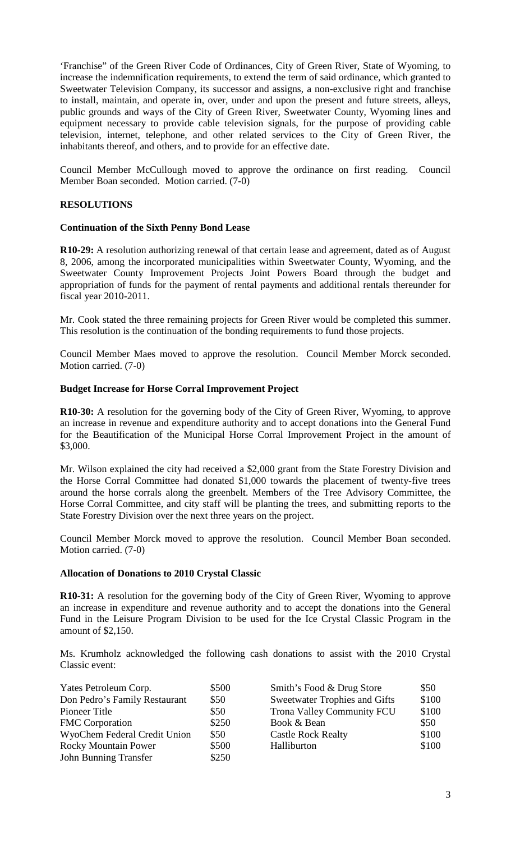'Franchise" of the Green River Code of Ordinances, City of Green River, State of Wyoming, to increase the indemnification requirements, to extend the term of said ordinance, which granted to Sweetwater Television Company, its successor and assigns, a non-exclusive right and franchise to install, maintain, and operate in, over, under and upon the present and future streets, alleys, public grounds and ways of the City of Green River, Sweetwater County, Wyoming lines and equipment necessary to provide cable television signals, for the purpose of providing cable television, internet, telephone, and other related services to the City of Green River, the inhabitants thereof, and others, and to provide for an effective date.

Council Member McCullough moved to approve the ordinance on first reading. Council Member Boan seconded. Motion carried. (7-0)

# **RESOLUTIONS**

#### **Continuation of the Sixth Penny Bond Lease**

**R10-29:** A resolution authorizing renewal of that certain lease and agreement, dated as of August 8, 2006, among the incorporated municipalities within Sweetwater County, Wyoming, and the Sweetwater County Improvement Projects Joint Powers Board through the budget and appropriation of funds for the payment of rental payments and additional rentals thereunder for fiscal year 2010-2011.

Mr. Cook stated the three remaining projects for Green River would be completed this summer. This resolution is the continuation of the bonding requirements to fund those projects.

Council Member Maes moved to approve the resolution. Council Member Morck seconded. Motion carried. (7-0)

# **Budget Increase for Horse Corral Improvement Project**

**R10-30:** A resolution for the governing body of the City of Green River, Wyoming, to approve an increase in revenue and expenditure authority and to accept donations into the General Fund for the Beautification of the Municipal Horse Corral Improvement Project in the amount of \$3,000.

Mr. Wilson explained the city had received a \$2,000 grant from the State Forestry Division and the Horse Corral Committee had donated \$1,000 towards the placement of twenty-five trees around the horse corrals along the greenbelt. Members of the Tree Advisory Committee, the Horse Corral Committee, and city staff will be planting the trees, and submitting reports to the State Forestry Division over the next three years on the project.

Council Member Morck moved to approve the resolution. Council Member Boan seconded. Motion carried. (7-0)

#### **Allocation of Donations to 2010 Crystal Classic**

**R10-31:** A resolution for the governing body of the City of Green River, Wyoming to approve an increase in expenditure and revenue authority and to accept the donations into the General Fund in the Leisure Program Division to be used for the Ice Crystal Classic Program in the amount of \$2,150.

Ms. Krumholz acknowledged the following cash donations to assist with the 2010 Crystal Classic event:

| Yates Petroleum Corp.         | \$500 | Smith's Food & Drug Store     | \$50  |
|-------------------------------|-------|-------------------------------|-------|
| Don Pedro's Family Restaurant | \$50  | Sweetwater Trophies and Gifts | \$100 |
| Pioneer Title                 | \$50  | Trona Valley Community FCU    | \$100 |
| FMC Corporation               | \$250 | Book & Bean                   | \$50  |
| WyoChem Federal Credit Union  | \$50  | <b>Castle Rock Realty</b>     | \$100 |
| <b>Rocky Mountain Power</b>   | \$500 | Halliburton                   | \$100 |
| <b>John Bunning Transfer</b>  | \$250 |                               |       |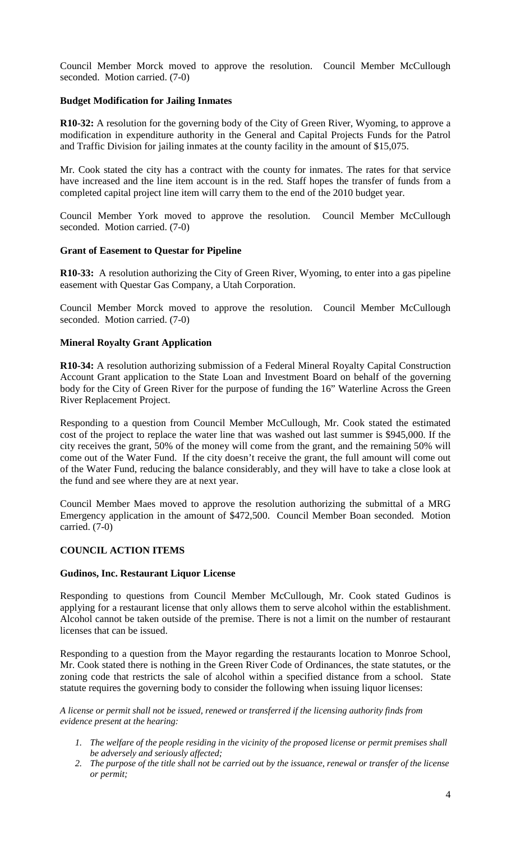Council Member Morck moved to approve the resolution. Council Member McCullough seconded. Motion carried. (7-0)

## **Budget Modification for Jailing Inmates**

**R10-32:** A resolution for the governing body of the City of Green River, Wyoming, to approve a modification in expenditure authority in the General and Capital Projects Funds for the Patrol and Traffic Division for jailing inmates at the county facility in the amount of \$15,075.

Mr. Cook stated the city has a contract with the county for inmates. The rates for that service have increased and the line item account is in the red. Staff hopes the transfer of funds from a completed capital project line item will carry them to the end of the 2010 budget year.

Council Member York moved to approve the resolution. Council Member McCullough seconded. Motion carried. (7-0)

## **Grant of Easement to Questar for Pipeline**

**R10-33:** A resolution authorizing the City of Green River, Wyoming, to enter into a gas pipeline easement with Questar Gas Company, a Utah Corporation.

Council Member Morck moved to approve the resolution. Council Member McCullough seconded. Motion carried. (7-0)

# **Mineral Royalty Grant Application**

**R10-34:** A resolution authorizing submission of a Federal Mineral Royalty Capital Construction Account Grant application to the State Loan and Investment Board on behalf of the governing body for the City of Green River for the purpose of funding the 16" Waterline Across the Green River Replacement Project.

Responding to a question from Council Member McCullough, Mr. Cook stated the estimated cost of the project to replace the water line that was washed out last summer is \$945,000. If the city receives the grant, 50% of the money will come from the grant, and the remaining 50% will come out of the Water Fund. If the city doesn't receive the grant, the full amount will come out of the Water Fund, reducing the balance considerably, and they will have to take a close look at the fund and see where they are at next year.

Council Member Maes moved to approve the resolution authorizing the submittal of a MRG Emergency application in the amount of \$472,500. Council Member Boan seconded. Motion carried. (7-0)

## **COUNCIL ACTION ITEMS**

## **Gudinos, Inc. Restaurant Liquor License**

Responding to questions from Council Member McCullough, Mr. Cook stated Gudinos is applying for a restaurant license that only allows them to serve alcohol within the establishment. Alcohol cannot be taken outside of the premise. There is not a limit on the number of restaurant licenses that can be issued.

Responding to a question from the Mayor regarding the restaurants location to Monroe School, Mr. Cook stated there is nothing in the Green River Code of Ordinances, the state statutes, or the zoning code that restricts the sale of alcohol within a specified distance from a school. State statute requires the governing body to consider the following when issuing liquor licenses:

*A license or permit shall not be issued, renewed or transferred if the licensing authority finds from evidence present at the hearing:* 

- *1. The welfare of the people residing in the vicinity of the proposed license or permit premises shall be adversely and seriously affected;*
- *2. The purpose of the title shall not be carried out by the issuance, renewal or transfer of the license or permit;*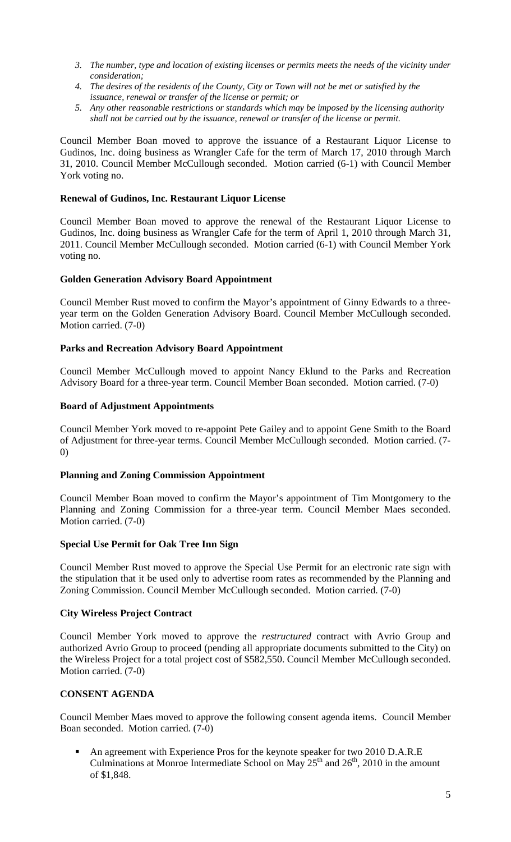- *3. The number, type and location of existing licenses or permits meets the needs of the vicinity under consideration;*
- *4. The desires of the residents of the County, City or Town will not be met or satisfied by the issuance, renewal or transfer of the license or permit; or*
- *5. Any other reasonable restrictions or standards which may be imposed by the licensing authority shall not be carried out by the issuance, renewal or transfer of the license or permit.*

Council Member Boan moved to approve the issuance of a Restaurant Liquor License to Gudinos, Inc. doing business as Wrangler Cafe for the term of March 17, 2010 through March 31, 2010. Council Member McCullough seconded. Motion carried (6-1) with Council Member York voting no.

## **Renewal of Gudinos, Inc. Restaurant Liquor License**

Council Member Boan moved to approve the renewal of the Restaurant Liquor License to Gudinos, Inc. doing business as Wrangler Cafe for the term of April 1, 2010 through March 31, 2011. Council Member McCullough seconded. Motion carried (6-1) with Council Member York voting no.

# **Golden Generation Advisory Board Appointment**

Council Member Rust moved to confirm the Mayor's appointment of Ginny Edwards to a threeyear term on the Golden Generation Advisory Board. Council Member McCullough seconded. Motion carried. (7-0)

# **Parks and Recreation Advisory Board Appointment**

Council Member McCullough moved to appoint Nancy Eklund to the Parks and Recreation Advisory Board for a three-year term. Council Member Boan seconded. Motion carried. (7-0)

## **Board of Adjustment Appointments**

Council Member York moved to re-appoint Pete Gailey and to appoint Gene Smith to the Board of Adjustment for three-year terms. Council Member McCullough seconded. Motion carried. (7- 0)

## **Planning and Zoning Commission Appointment**

Council Member Boan moved to confirm the Mayor's appointment of Tim Montgomery to the Planning and Zoning Commission for a three-year term. Council Member Maes seconded. Motion carried. (7-0)

## **Special Use Permit for Oak Tree Inn Sign**

Council Member Rust moved to approve the Special Use Permit for an electronic rate sign with the stipulation that it be used only to advertise room rates as recommended by the Planning and Zoning Commission. Council Member McCullough seconded. Motion carried. (7-0)

## **City Wireless Project Contract**

Council Member York moved to approve the *restructured* contract with Avrio Group and authorized Avrio Group to proceed (pending all appropriate documents submitted to the City) on the Wireless Project for a total project cost of \$582,550. Council Member McCullough seconded. Motion carried. (7-0)

# **CONSENT AGENDA**

Council Member Maes moved to approve the following consent agenda items. Council Member Boan seconded. Motion carried. (7-0)

 An agreement with Experience Pros for the keynote speaker for two 2010 D.A.R.E Culminations at Monroe Intermediate School on May  $25<sup>th</sup>$  and  $26<sup>th</sup>$ , 2010 in the amount of \$1,848.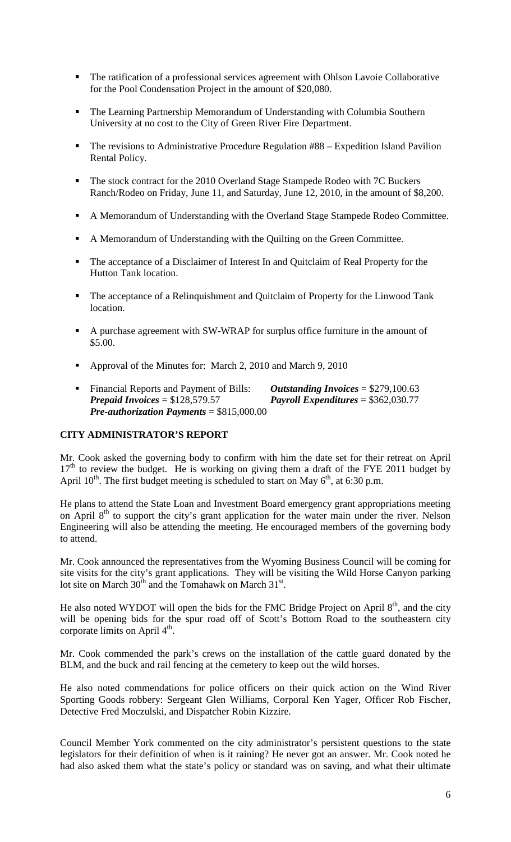- The ratification of a professional services agreement with Ohlson Lavoie Collaborative for the Pool Condensation Project in the amount of \$20,080.
- The Learning Partnership Memorandum of Understanding with Columbia Southern University at no cost to the City of Green River Fire Department.
- The revisions to Administrative Procedure Regulation #88 Expedition Island Pavilion Rental Policy.
- The stock contract for the 2010 Overland Stage Stampede Rodeo with 7C Buckers Ranch/Rodeo on Friday, June 11, and Saturday, June 12, 2010, in the amount of \$8,200.
- A Memorandum of Understanding with the Overland Stage Stampede Rodeo Committee.
- A Memorandum of Understanding with the Quilting on the Green Committee.
- The acceptance of a Disclaimer of Interest In and Quitclaim of Real Property for the Hutton Tank location.
- The acceptance of a Relinquishment and Quitclaim of Property for the Linwood Tank location.
- A purchase agreement with SW-WRAP for surplus office furniture in the amount of \$5.00.
- Approval of the Minutes for: March 2, 2010 and March 9, 2010
- Financial Reports and Payment of Bills: *Outstanding Invoices* = \$279,100.63 *Prepaid Invoices* = \$128,579.57 *Payroll Expenditures* = \$362,030.77 *Pre-authorization Payments* = \$815,000.00

## **CITY ADMINISTRATOR'S REPORT**

Mr. Cook asked the governing body to confirm with him the date set for their retreat on April  $17<sup>th</sup>$  to review the budget. He is working on giving them a draft of the FYE 2011 budget by April 10<sup>th</sup>. The first budget meeting is scheduled to start on May  $6^{th}$ , at 6:30 p.m.

He plans to attend the State Loan and Investment Board emergency grant appropriations meeting on April  $8<sup>th</sup>$  to support the city's grant application for the water main under the river. Nelson Engineering will also be attending the meeting. He encouraged members of the governing body to attend.

Mr. Cook announced the representatives from the Wyoming Business Council will be coming for site visits for the city's grant applications. They will be visiting the Wild Horse Canyon parking lot site on March  $30<sup>th</sup>$  and the Tomahawk on March  $31<sup>st</sup>$ .

He also noted WYDOT will open the bids for the FMC Bridge Project on April  $8<sup>th</sup>$ , and the city will be opening bids for the spur road off of Scott's Bottom Road to the southeastern city corporate limits on April  $4<sup>th</sup>$ .

Mr. Cook commended the park's crews on the installation of the cattle guard donated by the BLM, and the buck and rail fencing at the cemetery to keep out the wild horses.

He also noted commendations for police officers on their quick action on the Wind River Sporting Goods robbery: Sergeant Glen Williams, Corporal Ken Yager, Officer Rob Fischer, Detective Fred Moczulski, and Dispatcher Robin Kizzire.

Council Member York commented on the city administrator's persistent questions to the state legislators for their definition of when is it raining? He never got an answer. Mr. Cook noted he had also asked them what the state's policy or standard was on saving, and what their ultimate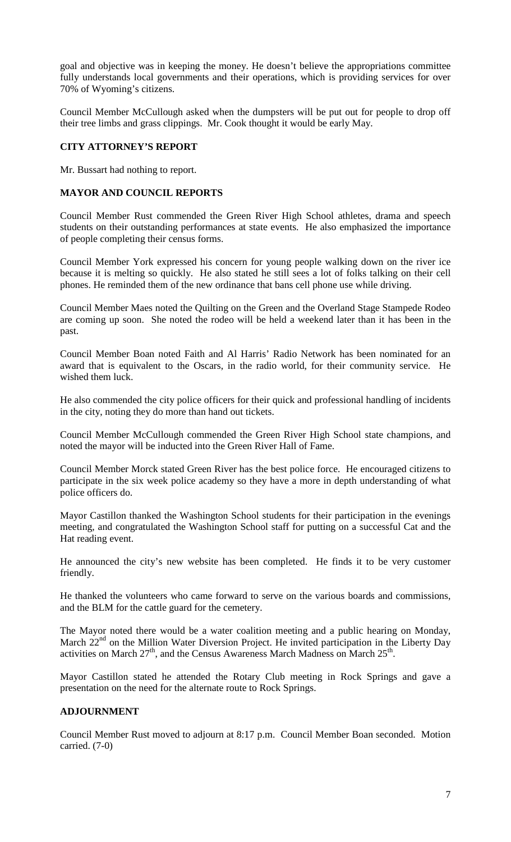goal and objective was in keeping the money. He doesn't believe the appropriations committee fully understands local governments and their operations, which is providing services for over 70% of Wyoming's citizens.

Council Member McCullough asked when the dumpsters will be put out for people to drop off their tree limbs and grass clippings. Mr. Cook thought it would be early May.

## **CITY ATTORNEY'S REPORT**

Mr. Bussart had nothing to report.

#### **MAYOR AND COUNCIL REPORTS**

Council Member Rust commended the Green River High School athletes, drama and speech students on their outstanding performances at state events. He also emphasized the importance of people completing their census forms.

Council Member York expressed his concern for young people walking down on the river ice because it is melting so quickly. He also stated he still sees a lot of folks talking on their cell phones. He reminded them of the new ordinance that bans cell phone use while driving.

Council Member Maes noted the Quilting on the Green and the Overland Stage Stampede Rodeo are coming up soon. She noted the rodeo will be held a weekend later than it has been in the past.

Council Member Boan noted Faith and Al Harris' Radio Network has been nominated for an award that is equivalent to the Oscars, in the radio world, for their community service. He wished them luck.

He also commended the city police officers for their quick and professional handling of incidents in the city, noting they do more than hand out tickets.

Council Member McCullough commended the Green River High School state champions, and noted the mayor will be inducted into the Green River Hall of Fame.

Council Member Morck stated Green River has the best police force. He encouraged citizens to participate in the six week police academy so they have a more in depth understanding of what police officers do.

Mayor Castillon thanked the Washington School students for their participation in the evenings meeting, and congratulated the Washington School staff for putting on a successful Cat and the Hat reading event.

He announced the city's new website has been completed. He finds it to be very customer friendly.

He thanked the volunteers who came forward to serve on the various boards and commissions, and the BLM for the cattle guard for the cemetery.

The Mayor noted there would be a water coalition meeting and a public hearing on Monday, March 22<sup>nd</sup> on the Million Water Diversion Project. He invited participation in the Liberty Day activities on March  $27<sup>th</sup>$ , and the Census Awareness March Madness on March  $25<sup>th</sup>$ .

Mayor Castillon stated he attended the Rotary Club meeting in Rock Springs and gave a presentation on the need for the alternate route to Rock Springs.

# **ADJOURNMENT**

Council Member Rust moved to adjourn at 8:17 p.m. Council Member Boan seconded. Motion carried. (7-0)